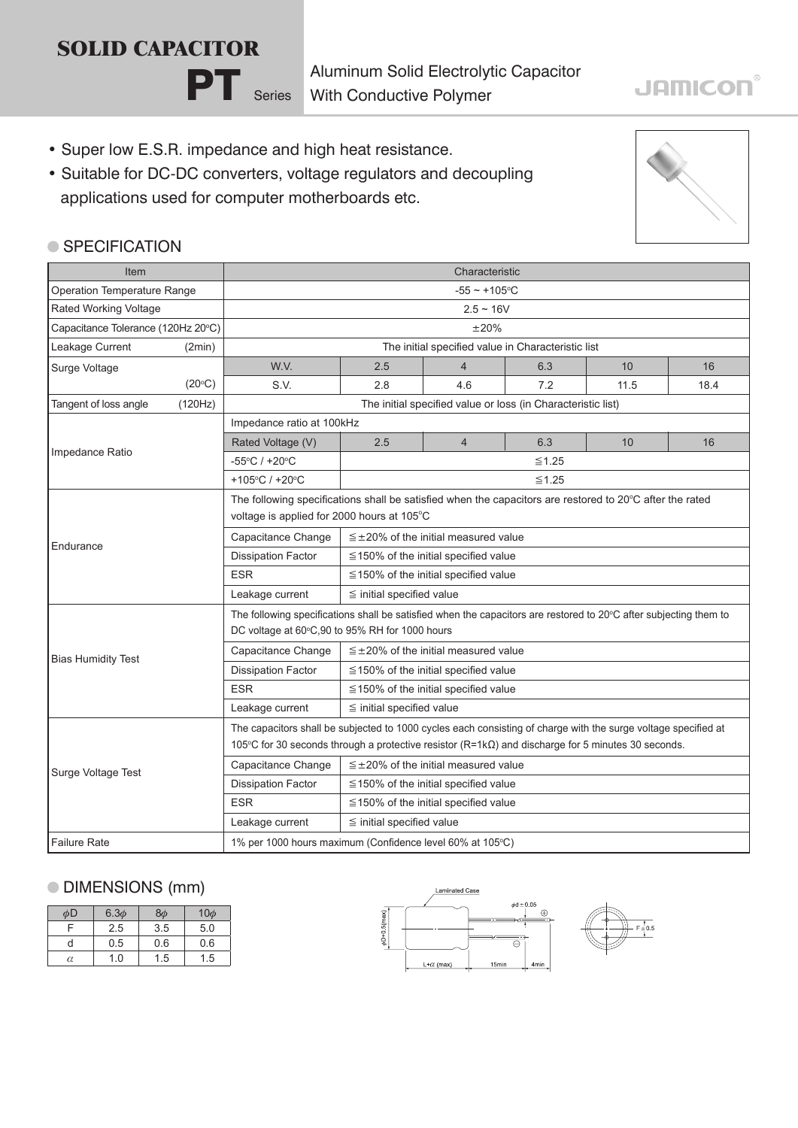# PT Series **SOLID CAPACITOR**

Aluminum Solid Electrolytic Capacitor With Conductive Polymer

## **JAMICON®**

- Super low E.S.R. impedance and high heat resistance.
- Suitable for DC-DC converters, voltage regulators and decoupling applications used for computer motherboards etc.



#### ● SPECIFICATION

| Item                               |                 | Characteristic                                                                                                                                                                                                              |                                               |                |     |      |      |  |
|------------------------------------|-----------------|-----------------------------------------------------------------------------------------------------------------------------------------------------------------------------------------------------------------------------|-----------------------------------------------|----------------|-----|------|------|--|
| Operation Temperature Range        |                 | $-55 - +105$ °C                                                                                                                                                                                                             |                                               |                |     |      |      |  |
| Rated Working Voltage              |                 | $2.5 \sim 16V$                                                                                                                                                                                                              |                                               |                |     |      |      |  |
| Capacitance Tolerance (120Hz 20°C) |                 | ±20%                                                                                                                                                                                                                        |                                               |                |     |      |      |  |
| Leakage Current                    | (2min)          | The initial specified value in Characteristic list                                                                                                                                                                          |                                               |                |     |      |      |  |
| Surge Voltage                      |                 | W.V.                                                                                                                                                                                                                        | 2.5                                           | 4              | 6.3 | 10   | 16   |  |
|                                    | $(20^{\circ}C)$ | S.V.                                                                                                                                                                                                                        | 2.8                                           | 4.6            | 7.2 | 11.5 | 18.4 |  |
| Tangent of loss angle              | (120Hz)         | The initial specified value or loss (in Characteristic list)                                                                                                                                                                |                                               |                |     |      |      |  |
|                                    |                 | Impedance ratio at 100kHz                                                                                                                                                                                                   |                                               |                |     |      |      |  |
| Impedance Ratio                    |                 | Rated Voltage (V)                                                                                                                                                                                                           | 2.5                                           | $\overline{4}$ | 6.3 | 10   | 16   |  |
|                                    |                 | -55°C / +20°C                                                                                                                                                                                                               | $\leq 1.25$                                   |                |     |      |      |  |
|                                    |                 | +105°C / +20°C                                                                                                                                                                                                              | $\leq 1.25$                                   |                |     |      |      |  |
| Endurance                          |                 | The following specifications shall be satisfied when the capacitors are restored to 20°C after the rated<br>voltage is applied for 2000 hours at 105°C                                                                      |                                               |                |     |      |      |  |
|                                    |                 | Capacitance Change                                                                                                                                                                                                          | $\leq$ ±20% of the initial measured value     |                |     |      |      |  |
|                                    |                 | <b>Dissipation Factor</b>                                                                                                                                                                                                   | $\leq$ 150% of the initial specified value    |                |     |      |      |  |
|                                    |                 | <b>ESR</b>                                                                                                                                                                                                                  | $\leq$ 150% of the initial specified value    |                |     |      |      |  |
|                                    |                 | Leakage current                                                                                                                                                                                                             | $\leq$ initial specified value                |                |     |      |      |  |
| <b>Bias Humidity Test</b>          |                 | The following specifications shall be satisfied when the capacitors are restored to 20°C after subjecting them to<br>DC voltage at 60°C,90 to 95% RH for 1000 hours                                                         |                                               |                |     |      |      |  |
|                                    |                 | Capacitance Change                                                                                                                                                                                                          | $\leq$ ±20% of the initial measured value     |                |     |      |      |  |
|                                    |                 | <b>Dissipation Factor</b>                                                                                                                                                                                                   | $\leq$ 150% of the initial specified value    |                |     |      |      |  |
|                                    |                 | <b>ESR</b>                                                                                                                                                                                                                  | $\leq$ 150% of the initial specified value    |                |     |      |      |  |
|                                    |                 | Leakage current                                                                                                                                                                                                             | $\leq$ initial specified value                |                |     |      |      |  |
|                                    |                 | The capacitors shall be subjected to 1000 cycles each consisting of charge with the surge voltage specified at<br>105°C for 30 seconds through a protective resistor $(R=1k\Omega)$ and discharge for 5 minutes 30 seconds. |                                               |                |     |      |      |  |
|                                    |                 | Capacitance Change                                                                                                                                                                                                          | $\leq \pm 20\%$ of the initial measured value |                |     |      |      |  |
| Surge Voltage Test                 |                 | <b>Dissipation Factor</b>                                                                                                                                                                                                   | $\leq$ 150% of the initial specified value    |                |     |      |      |  |
|                                    |                 | <b>ESR</b>                                                                                                                                                                                                                  | $\leq$ 150% of the initial specified value    |                |     |      |      |  |
|                                    |                 | Leakage current                                                                                                                                                                                                             | $\leq$ initial specified value                |                |     |      |      |  |
| <b>Failure Rate</b>                |                 | 1% per 1000 hours maximum (Confidence level 60% at 105°C)                                                                                                                                                                   |                                               |                |     |      |      |  |

#### DIMENSIONS (mm)

| φD | $6.3\phi$ | $8\phi$ | $10\phi$ |
|----|-----------|---------|----------|
| F  | 2.5       | 3.5     | 5.0      |
| U  | 0.5       | 0.6     | 0.6      |
| α  | 1.0       | 1.5     | 1.5      |